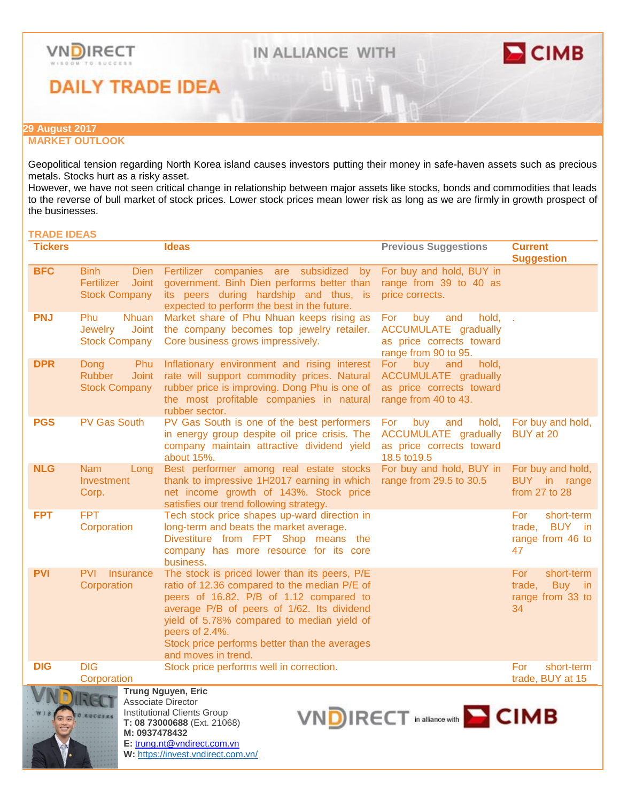



**DAILY TRADE IDEA** 

### **29 August 2017**

## **MARKET OUTLOOK**

Geopolitical tension regarding North Korea island causes investors putting their money in safe-haven assets such as precious metals. Stocks hurt as a risky asset.

However, we have not seen critical change in relationship between major assets like stocks, bonds and commodities that leads to the reverse of bull market of stock prices. Lower stock prices mean lower risk as long as we are firmly in growth prospect of the businesses.

# **TRADE IDEAS**

| <b>Tickers</b>                                                                                                                                                                                                                    |                                                                                      | <b>Ideas</b>                                                                                                                                                                                                                                                                                                                   | <b>Previous Suggestions</b>                                                                                     | <b>Current</b><br><b>Suggestion</b>                             |
|-----------------------------------------------------------------------------------------------------------------------------------------------------------------------------------------------------------------------------------|--------------------------------------------------------------------------------------|--------------------------------------------------------------------------------------------------------------------------------------------------------------------------------------------------------------------------------------------------------------------------------------------------------------------------------|-----------------------------------------------------------------------------------------------------------------|-----------------------------------------------------------------|
| <b>BFC</b>                                                                                                                                                                                                                        | <b>Binh</b><br><b>Dien</b><br>Fertilizer<br><b>Joint</b><br><b>Stock Company</b>     | Fertilizer companies are subsidized<br>by<br>government. Binh Dien performs better than<br>its peers during hardship and thus, is<br>expected to perform the best in the future.                                                                                                                                               | For buy and hold, BUY in<br>range from 39 to 40 as<br>price corrects.                                           |                                                                 |
| <b>PNJ</b>                                                                                                                                                                                                                        | <b>Phu</b><br><b>Nhuan</b><br><b>Jewelry</b><br><b>Joint</b><br><b>Stock Company</b> | Market share of Phu Nhuan keeps rising as<br>the company becomes top jewelry retailer.<br>Core business grows impressively.                                                                                                                                                                                                    | buy<br>hold, .<br>For<br>and<br><b>ACCUMULATE</b> gradually<br>as price corrects toward<br>range from 90 to 95. |                                                                 |
| <b>DPR</b>                                                                                                                                                                                                                        | Dong<br>Phu<br><b>Rubber</b><br><b>Joint</b><br><b>Stock Company</b>                 | Inflationary environment and rising interest<br>rate will support commodity prices. Natural<br>rubber price is improving. Dong Phu is one of<br>the most profitable companies in natural<br>rubber sector.                                                                                                                     | For buy<br>and<br>hold,<br>ACCUMULATE gradually<br>as price corrects toward<br>range from 40 to 43.             |                                                                 |
| <b>PGS</b>                                                                                                                                                                                                                        | <b>PV Gas South</b>                                                                  | PV Gas South is one of the best performers<br>in energy group despite oil price crisis. The<br>company maintain attractive dividend yield<br>about 15%.                                                                                                                                                                        | hold,<br>For :<br>buy<br>and<br><b>ACCUMULATE</b> gradually<br>as price corrects toward<br>18.5 to 19.5         | For buy and hold,<br>BUY at 20                                  |
| <b>NLG</b>                                                                                                                                                                                                                        | <b>Nam</b><br>Long<br>Investment<br>Corp.                                            | Best performer among real estate stocks<br>thank to impressive 1H2017 earning in which<br>net income growth of 143%. Stock price<br>satisfies our trend following strategy.                                                                                                                                                    | For buy and hold, BUY in<br>range from 29.5 to 30.5                                                             | For buy and hold,<br>BUY in range<br>from 27 to 28              |
| <b>FPT</b>                                                                                                                                                                                                                        | <b>FPT</b><br>Corporation                                                            | Tech stock price shapes up-ward direction in<br>long-term and beats the market average.<br>Divestiture from FPT Shop means the<br>company has more resource for its core<br>business.                                                                                                                                          |                                                                                                                 | For<br>short-term<br>BUY in<br>trade,<br>range from 46 to<br>47 |
| <b>PVI</b>                                                                                                                                                                                                                        | <b>PVI</b> Insurance<br>Corporation                                                  | The stock is priced lower than its peers, P/E<br>ratio of 12.36 compared to the median P/E of<br>peers of 16.82, P/B of 1.12 compared to<br>average P/B of peers of 1/62. Its dividend<br>yield of 5.78% compared to median yield of<br>peers of 2.4%.<br>Stock price performs better than the averages<br>and moves in trend. |                                                                                                                 | For<br>short-term<br>trade,<br>Buy in<br>range from 33 to<br>34 |
| <b>DIG</b>                                                                                                                                                                                                                        | <b>DIG</b><br>Corporation                                                            | Stock price performs well in correction.                                                                                                                                                                                                                                                                                       |                                                                                                                 | For<br>short-term<br>trade, BUY at 15                           |
| <b>Trung Nguyen, Eric</b><br>Associate Director<br><b>Institutional Clients Group</b><br>VNDIRECT in alliance with <b>CIMB</b><br><b>O SUCCESS</b><br>T: 08 73000688 (Ext. 21068)<br>M: 0937478432<br>E: trung.nt@vndirect.com.vn |                                                                                      |                                                                                                                                                                                                                                                                                                                                |                                                                                                                 |                                                                 |

**W:** <https://invest.vndirect.com.vn/>